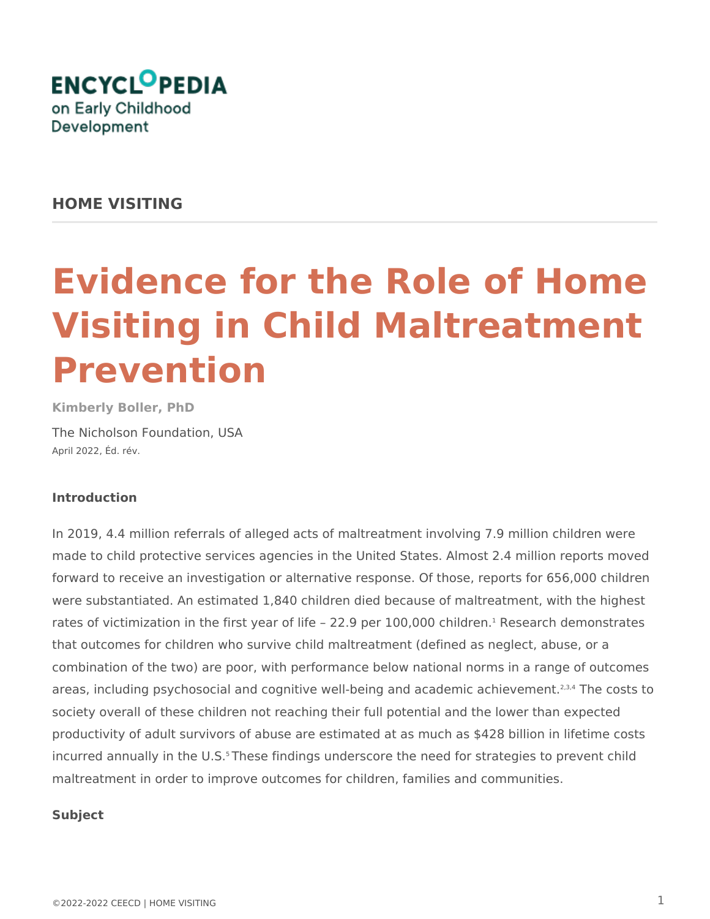

# **HOME VISITING**

# **Evidence for the Role of Home Visiting in Child Maltreatment Prevention**

**Kimberly Boller, PhD** The Nicholson Foundation, USA April 2022, Éd. rév.

# **Introduction**

In 2019, 4.4 million referrals of alleged acts of maltreatment involving 7.9 million children were made to child protective services agencies in the United States. Almost 2.4 million reports moved forward to receive an investigation or alternative response. Of those, reports for 656,000 children were substantiated. An estimated 1,840 children died because of maltreatment, with the highest rates of victimization in the first year of life - 22.9 per 100,000 children.<sup>1</sup> Research demonstrates that outcomes for children who survive child maltreatment (defined as neglect, abuse, or a combination of the two) are poor, with performance below national norms in a range of outcomes areas, including psychosocial and cognitive well-being and academic achievement.<sup>2,3,4</sup> The costs to society overall of these children not reaching their full potential and the lower than expected productivity of adult survivors of abuse are estimated at as much as \$428 billion in lifetime costs incurred annually in the U.S.<sup>5</sup> These findings underscore the need for strategies to prevent child maltreatment in order to improve outcomes for children, families and communities.

# **Subject**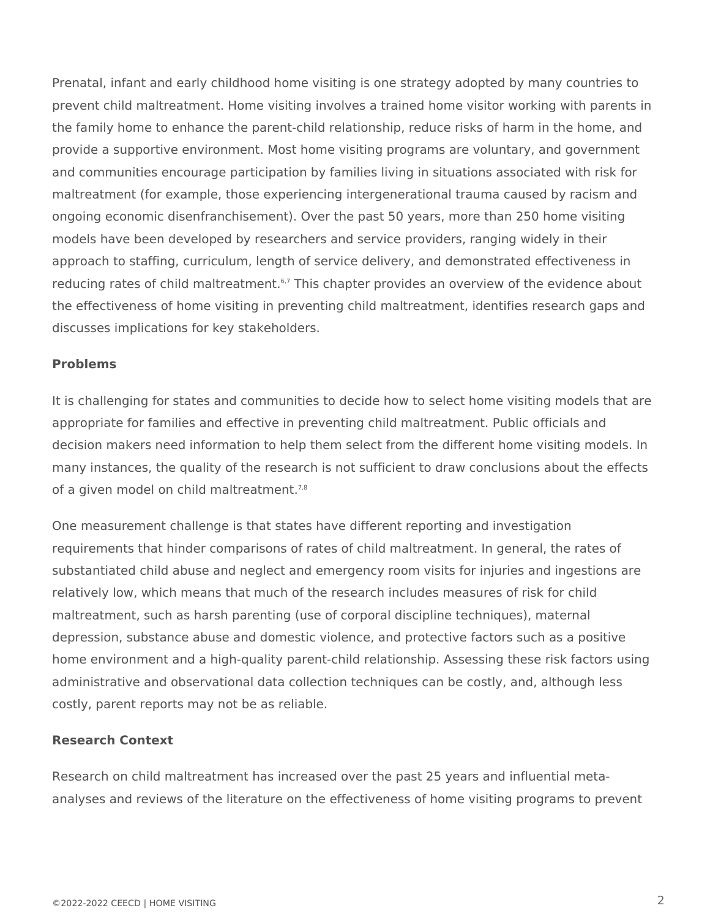Prenatal, infant and early childhood home visiting is one strategy adopted by many countries to prevent child maltreatment. Home visiting involves a trained home visitor working with parents in the family home to enhance the parent-child relationship, reduce risks of harm in the home, and provide a supportive environment. Most home visiting programs are voluntary, and government and communities encourage participation by families living in situations associated with risk for maltreatment (for example, those experiencing intergenerational trauma caused by racism and ongoing economic disenfranchisement). Over the past 50 years, more than 250 home visiting models have been developed by researchers and service providers, ranging widely in their approach to staffing, curriculum, length of service delivery, and demonstrated effectiveness in reducing rates of child maltreatment.<sup>6,7</sup> This chapter provides an overview of the evidence about the effectiveness of home visiting in preventing child maltreatment, identifies research gaps and discusses implications for key stakeholders.

# **Problems**

It is challenging for states and communities to decide how to select home visiting models that are appropriate for families and effective in preventing child maltreatment. Public officials and decision makers need information to help them select from the different home visiting models. In many instances, the quality of the research is not sufficient to draw conclusions about the effects of a given model on child maltreatment.<sup>7,8</sup>

One measurement challenge is that states have different reporting and investigation requirements that hinder comparisons of rates of child maltreatment. In general, the rates of substantiated child abuse and neglect and emergency room visits for injuries and ingestions are relatively low, which means that much of the research includes measures of risk for child maltreatment, such as harsh parenting (use of corporal discipline techniques), maternal depression, substance abuse and domestic violence, and protective factors such as a positive home environment and a high-quality parent-child relationship. Assessing these risk factors using administrative and observational data collection techniques can be costly, and, although less costly, parent reports may not be as reliable.

# **Research Context**

Research on child maltreatment has increased over the past 25 years and influential metaanalyses and reviews of the literature on the effectiveness of home visiting programs to prevent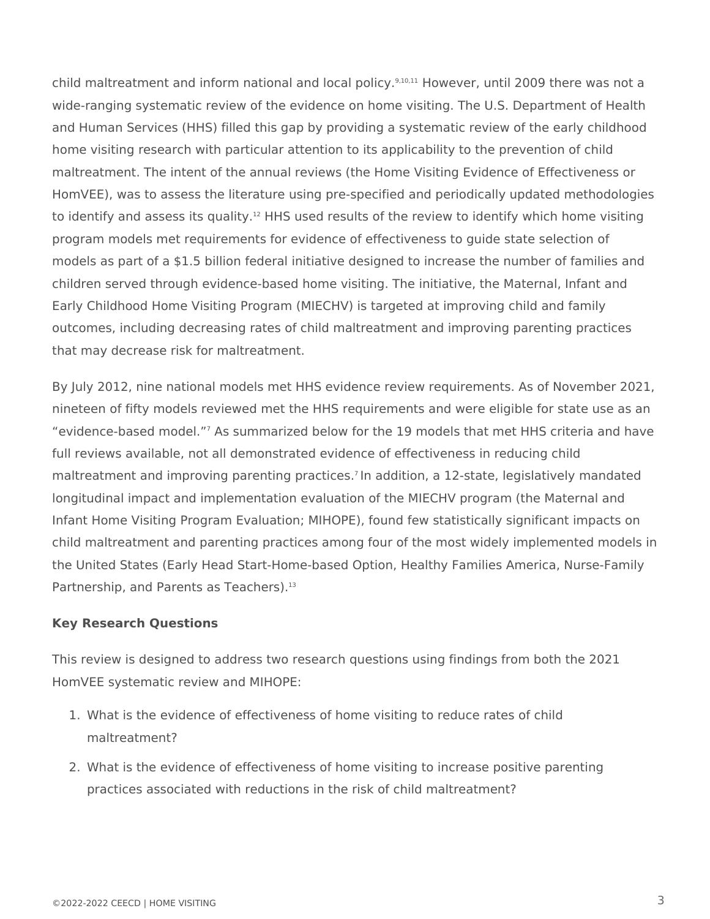child maltreatment and inform national and local policy.<sup>9,10,11</sup> However, until 2009 there was not a wide-ranging systematic review of the evidence on home visiting. The U.S. Department of Health and Human Services (HHS) filled this gap by providing a systematic review of the early childhood home visiting research with particular attention to its applicability to the prevention of child maltreatment. The intent of the annual reviews (the Home Visiting Evidence of Effectiveness or HomVEE), was to assess the literature using pre-specified and periodically updated methodologies to identify and assess its quality.<sup>12</sup> HHS used results of the review to identify which home visiting program models met requirements for evidence of effectiveness to guide state selection of models as part of a \$1.5 billion federal initiative designed to increase the number of families and children served through evidence-based home visiting. The initiative, the Maternal, Infant and Early Childhood Home Visiting Program (MIECHV) is targeted at improving child and family outcomes, including decreasing rates of child maltreatment and improving parenting practices that may decrease risk for maltreatment.

By July 2012, nine national models met HHS evidence review requirements. As of November 2021, nineteen of fifty models reviewed met the HHS requirements and were eligible for state use as an "evidence-based model."<sup>7</sup> As summarized below for the 19 models that met HHS criteria and have full reviews available, not all demonstrated evidence of effectiveness in reducing child maltreatment and improving parenting practices.<sup>7</sup> In addition, a 12-state, legislatively mandated longitudinal impact and implementation evaluation of the MIECHV program (the Maternal and Infant Home Visiting Program Evaluation; MIHOPE), found few statistically significant impacts on child maltreatment and parenting practices among four of the most widely implemented models in the United States (Early Head Start-Home-based Option, Healthy Families America, Nurse-Family Partnership, and Parents as Teachers).<sup>13</sup>

# **Key Research Questions**

This review is designed to address two research questions using findings from both the 2021 HomVEE systematic review and MIHOPE:

- 1. What is the evidence of effectiveness of home visiting to reduce rates of child maltreatment?
- 2. What is the evidence of effectiveness of home visiting to increase positive parenting practices associated with reductions in the risk of child maltreatment?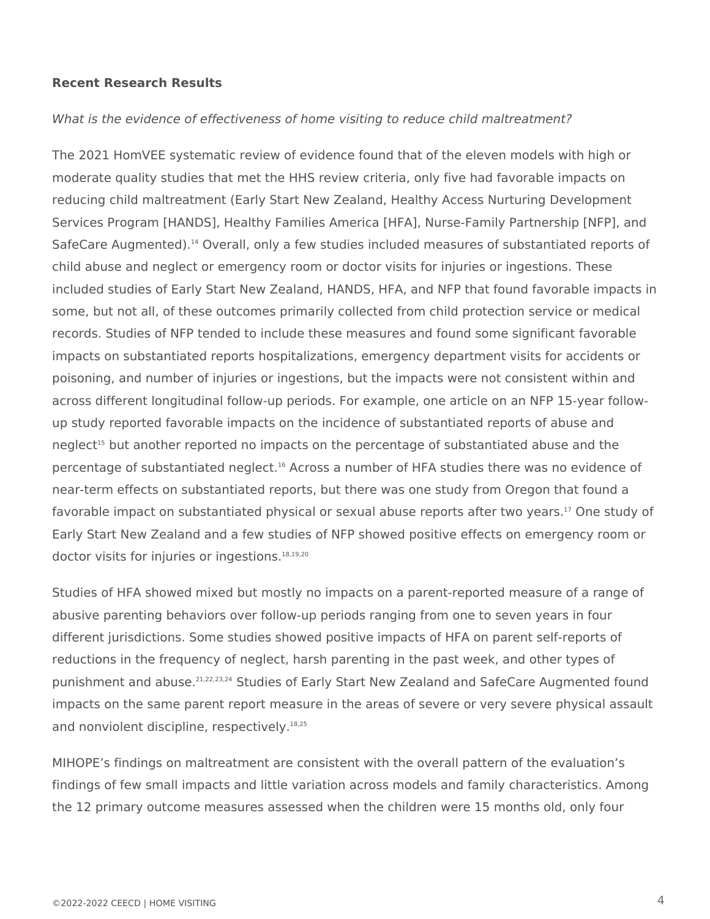#### **Recent Research Results**

### *What is the evidence of effectiveness of home visiting to reduce child maltreatment?*

The 2021 HomVEE systematic review of evidence found that of the eleven models with high or moderate quality studies that met the HHS review criteria, only five had favorable impacts on reducing child maltreatment (Early Start New Zealand, Healthy Access Nurturing Development Services Program [HANDS], Healthy Families America [HFA], Nurse-Family Partnership [NFP], and SafeCare Augmented).<sup>14</sup> Overall, only a few studies included measures of substantiated reports of child abuse and neglect or emergency room or doctor visits for injuries or ingestions. These included studies of Early Start New Zealand, HANDS, HFA, and NFP that found favorable impacts in some, but not all, of these outcomes primarily collected from child protection service or medical records. Studies of NFP tended to include these measures and found some significant favorable impacts on substantiated reports hospitalizations, emergency department visits for accidents or poisoning, and number of injuries or ingestions, but the impacts were not consistent within and across different longitudinal follow-up periods. For example, one article on an NFP 15-year followup study reported favorable impacts on the incidence of substantiated reports of abuse and neglect<sup>15</sup> but another reported no impacts on the percentage of substantiated abuse and the percentage of substantiated neglect.<sup>16</sup> Across a number of HFA studies there was no evidence of near-term effects on substantiated reports, but there was one study from Oregon that found a favorable impact on substantiated physical or sexual abuse reports after two years.<sup>17</sup> One study of Early Start New Zealand and a few studies of NFP showed positive effects on emergency room or doctor visits for injuries or ingestions.<sup>18,19,20</sup>

Studies of HFA showed mixed but mostly no impacts on a parent-reported measure of a range of abusive parenting behaviors over follow-up periods ranging from one to seven years in four different jurisdictions. Some studies showed positive impacts of HFA on parent self-reports of reductions in the frequency of neglect, harsh parenting in the past week, and other types of punishment and abuse.<sup>21,22,23,24</sup> Studies of Early Start New Zealand and SafeCare Augmented found impacts on the same parent report measure in the areas of severe or very severe physical assault and nonviolent discipline, respectively.<sup>18,25</sup>

MIHOPE's findings on maltreatment are consistent with the overall pattern of the evaluation's findings of few small impacts and little variation across models and family characteristics. Among the 12 primary outcome measures assessed when the children were 15 months old, only four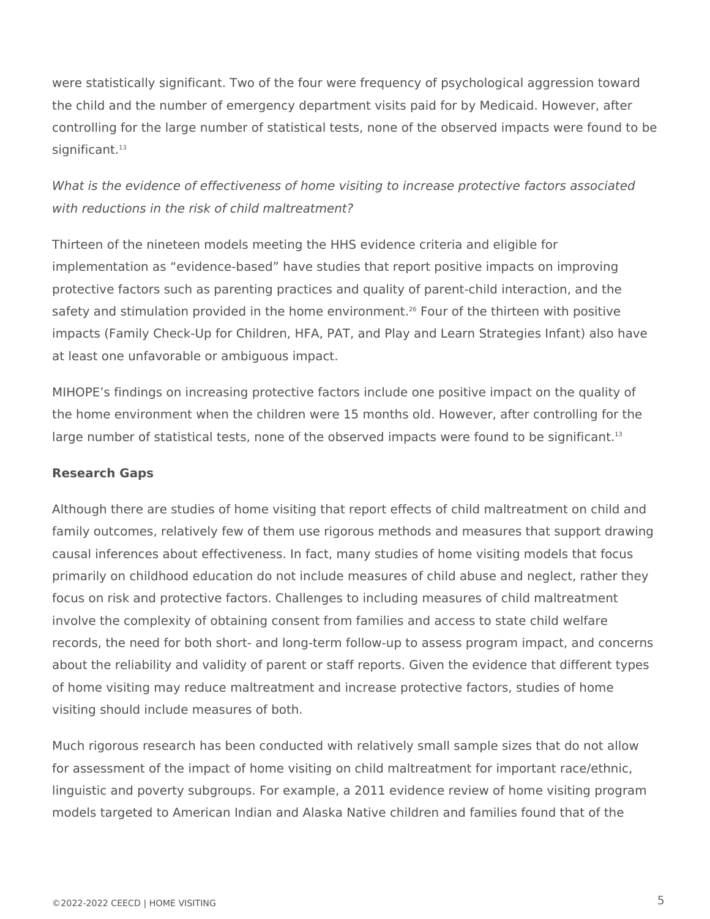were statistically significant. Two of the four were frequency of psychological aggression toward the child and the number of emergency department visits paid for by Medicaid. However, after controlling for the large number of statistical tests, none of the observed impacts were found to be significant.<sup>13</sup>

# *What is the evidence of effectiveness of home visiting to increase protective factors associated with reductions in the risk of child maltreatment?*

Thirteen of the nineteen models meeting the HHS evidence criteria and eligible for implementation as "evidence-based" have studies that report positive impacts on improving protective factors such as parenting practices and quality of parent-child interaction, and the safety and stimulation provided in the home environment.<sup>26</sup> Four of the thirteen with positive impacts (Family Check-Up for Children, HFA, PAT, and Play and Learn Strategies Infant) also have at least one unfavorable or ambiguous impact.

MIHOPE's findings on increasing protective factors include one positive impact on the quality of the home environment when the children were 15 months old. However, after controlling for the large number of statistical tests, none of the observed impacts were found to be significant. $13$ 

# **Research Gaps**

Although there are studies of home visiting that report effects of child maltreatment on child and family outcomes, relatively few of them use rigorous methods and measures that support drawing causal inferences about effectiveness. In fact, many studies of home visiting models that focus primarily on childhood education do not include measures of child abuse and neglect, rather they focus on risk and protective factors. Challenges to including measures of child maltreatment involve the complexity of obtaining consent from families and access to state child welfare records, the need for both short- and long-term follow-up to assess program impact, and concerns about the reliability and validity of parent or staff reports. Given the evidence that different types of home visiting may reduce maltreatment and increase protective factors, studies of home visiting should include measures of both.

Much rigorous research has been conducted with relatively small sample sizes that do not allow for assessment of the impact of home visiting on child maltreatment for important race/ethnic, linguistic and poverty subgroups. For example, a 2011 evidence review of home visiting program models targeted to American Indian and Alaska Native children and families found that of the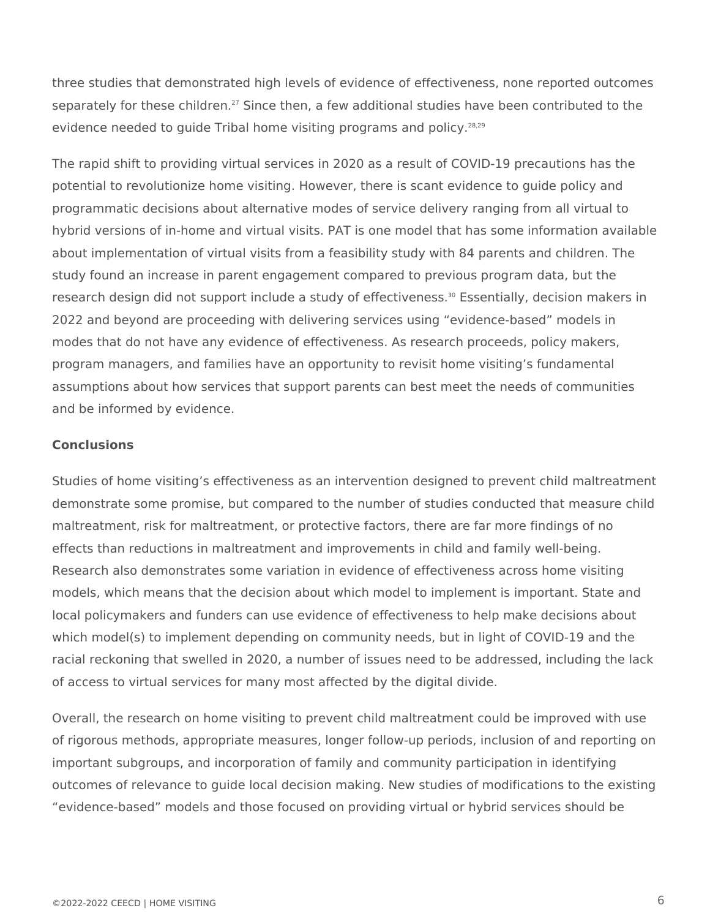three studies that demonstrated high levels of evidence of effectiveness, none reported outcomes separately for these children.<sup>27</sup> Since then, a few additional studies have been contributed to the evidence needed to guide Tribal home visiting programs and policy.<sup>28,29</sup>

The rapid shift to providing virtual services in 2020 as a result of COVID-19 precautions has the potential to revolutionize home visiting. However, there is scant evidence to guide policy and programmatic decisions about alternative modes of service delivery ranging from all virtual to hybrid versions of in-home and virtual visits. PAT is one model that has some information available about implementation of virtual visits from a feasibility study with 84 parents and children. The study found an increase in parent engagement compared to previous program data, but the research design did not support include a study of effectiveness.<sup>30</sup> Essentially, decision makers in 2022 and beyond are proceeding with delivering services using "evidence-based" models in modes that do not have any evidence of effectiveness. As research proceeds, policy makers, program managers, and families have an opportunity to revisit home visiting's fundamental assumptions about how services that support parents can best meet the needs of communities and be informed by evidence.

#### **Conclusions**

Studies of home visiting's effectiveness as an intervention designed to prevent child maltreatment demonstrate some promise, but compared to the number of studies conducted that measure child maltreatment, risk for maltreatment, or protective factors, there are far more findings of no effects than reductions in maltreatment and improvements in child and family well-being. Research also demonstrates some variation in evidence of effectiveness across home visiting models, which means that the decision about which model to implement is important. State and local policymakers and funders can use evidence of effectiveness to help make decisions about which model(s) to implement depending on community needs, but in light of COVID-19 and the racial reckoning that swelled in 2020, a number of issues need to be addressed, including the lack of access to virtual services for many most affected by the digital divide.

Overall, the research on home visiting to prevent child maltreatment could be improved with use of rigorous methods, appropriate measures, longer follow-up periods, inclusion of and reporting on important subgroups, and incorporation of family and community participation in identifying outcomes of relevance to guide local decision making. New studies of modifications to the existing "evidence-based" models and those focused on providing virtual or hybrid services should be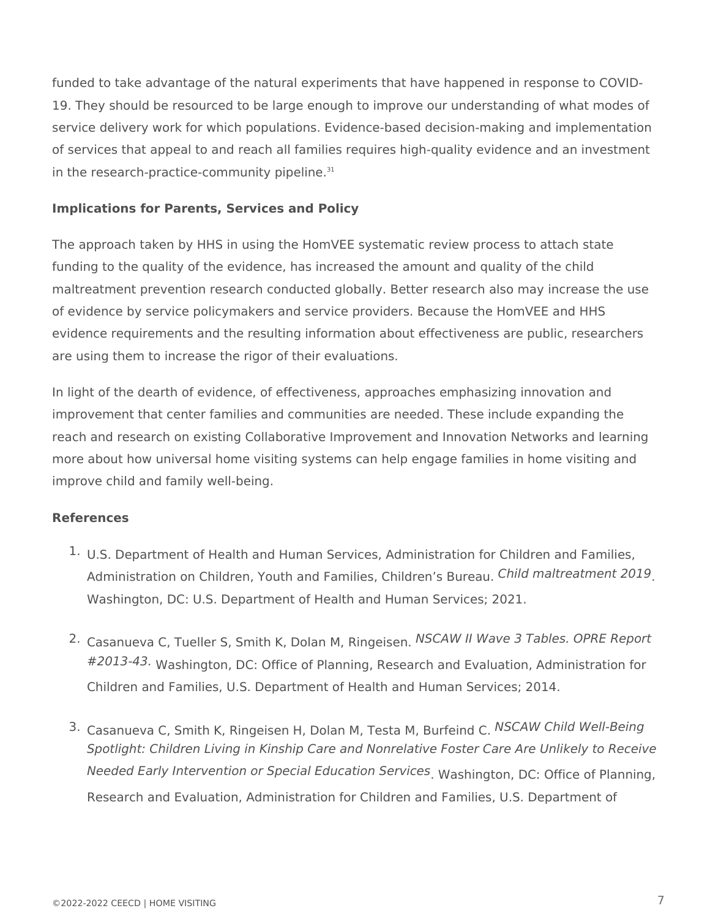funded to take advantage of the natural experiments that have happened in response to COVID-19. They should be resourced to be large enough to improve our understanding of what modes of service delivery work for which populations. Evidence-based decision-making and implementation of services that appeal to and reach all families requires high-quality evidence and an investment in the research-practice-community pipeline.<sup>31</sup>

# **Implications for Parents, Services and Policy**

The approach taken by HHS in using the HomVEE systematic review process to attach state funding to the quality of the evidence, has increased the amount and quality of the child maltreatment prevention research conducted globally. Better research also may increase the use of evidence by service policymakers and service providers. Because the HomVEE and HHS evidence requirements and the resulting information about effectiveness are public, researchers are using them to increase the rigor of their evaluations.

In light of the dearth of evidence, of effectiveness, approaches emphasizing innovation and improvement that center families and communities are needed. These include expanding the reach and research on existing Collaborative Improvement and Innovation Networks and learning more about how universal home visiting systems can help engage families in home visiting and improve child and family well-being.

# **References**

- <sup>1.</sup> U.S. Department of Health and Human Services, Administration for Children and Families, Administration on Children, Youth and Families, Children's Bureau. *Child maltreatment 2019* Washington, DC: U.S. Department of Health and Human Services; 2021.
- 2. Casanueva C, Tueller S, Smith K, Dolan M, Ringeisen. *NSCAW II Wave 3 Tables. OPRE Report* #2013-43. Washington, DC: Office of Planning, Research and Evaluation, Administration for Children and Families, U.S. Department of Health and Human Services; 2014.
- 3. Casanueva C, Smith K, Ringeisen H, Dolan M, Testa M, Burfeind C. *NSCAW Child Well-Being* Needed Early Intervention or Special Education Services<sub>.</sub> Washington, DC: Office of Planning, Research and Evaluation, Administration for Children and Families, U.S. Department of *Spotlight: Children Living in Kinship Care and Nonrelative Foster Care Are Unlikely to Receive*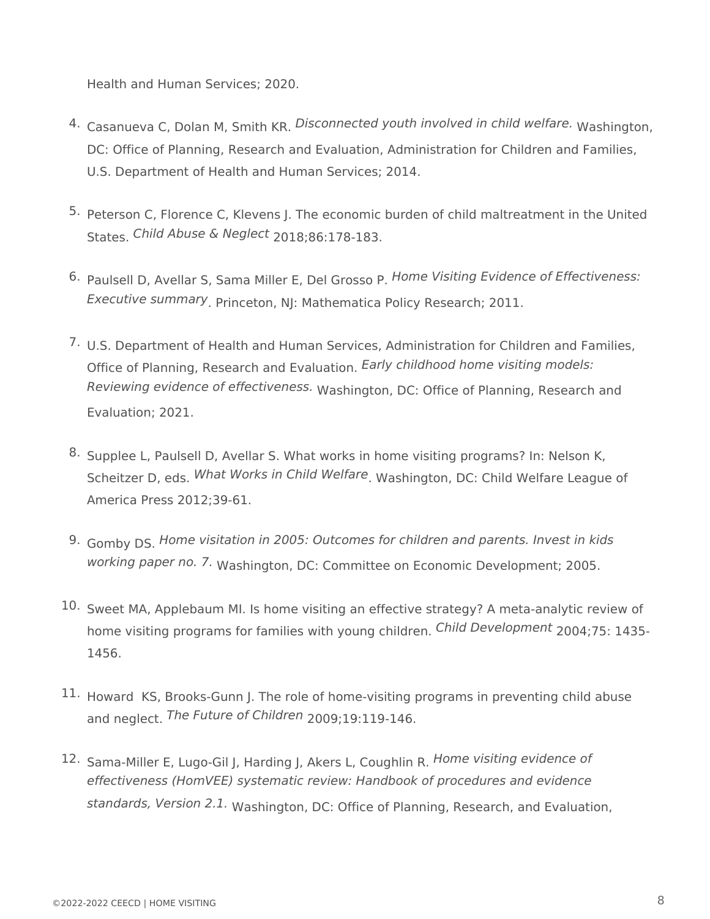Health and Human Services; 2020.

- 4. Casanueva C, Dolan M, Smith KR. Disconnected youth involved in child welfare. Washington, DC: Office of Planning, Research and Evaluation, Administration for Children and Families, U.S. Department of Health and Human Services; 2014.
- 5. Peterson C, Florence C, Klevens J. The economic burden of child maltreatment in the United States. *Child Abuse & Neglect* 2018;86:178-183.
- 6. Paulsell D, Avellar S, Sama Miller E, Del Grosso P. *Home Visiting Evidence of Effectiveness:* Executive summary. Princeton, NJ: Mathematica Policy Research; 2011.
- <sup>7.</sup> U.S. Department of Health and Human Services, Administration for Children and Families, Office of Planning, Research and Evaluation. *Early childhood home visiting models:* Reviewing evidence of effectiveness. Washington, DC: Office of Planning, Research and Evaluation; 2021.
- 8. Supplee L, Paulsell D, Avellar S. What works in home visiting programs? In: Nelson K, Scheitzer D, eds. What Works in Child Welfare, Washington, DC: Child Welfare League of America Press 2012;39-61.
- 9. Gomby DS. *Home visitation in 2005: Outcomes for children and parents. Invest in kids* working paper no. 7. Washington, DC: Committee on Economic Development; 2005.
- $10.$  Sweet MA, Applebaum MI. Is home visiting an effective strategy? A meta-analytic review of home visiting programs for families with young children. Child Development 2004;75: 1435-1456.
- $11.$  Howard KS, Brooks-Gunn J. The role of home-visiting programs in preventing child abuse and neglect. *The Future of Children* 2009;19:119-146.
- 12. Sama-Miller E, Lugo-Gil J, Harding J, Akers L, Coughlin R. *Home visiting evidence of* standards, Version 2.1. Washington, DC: Office of Planning, Research, and Evaluation, *effectiveness (HomVEE) systematic review: Handbook of procedures and evidence*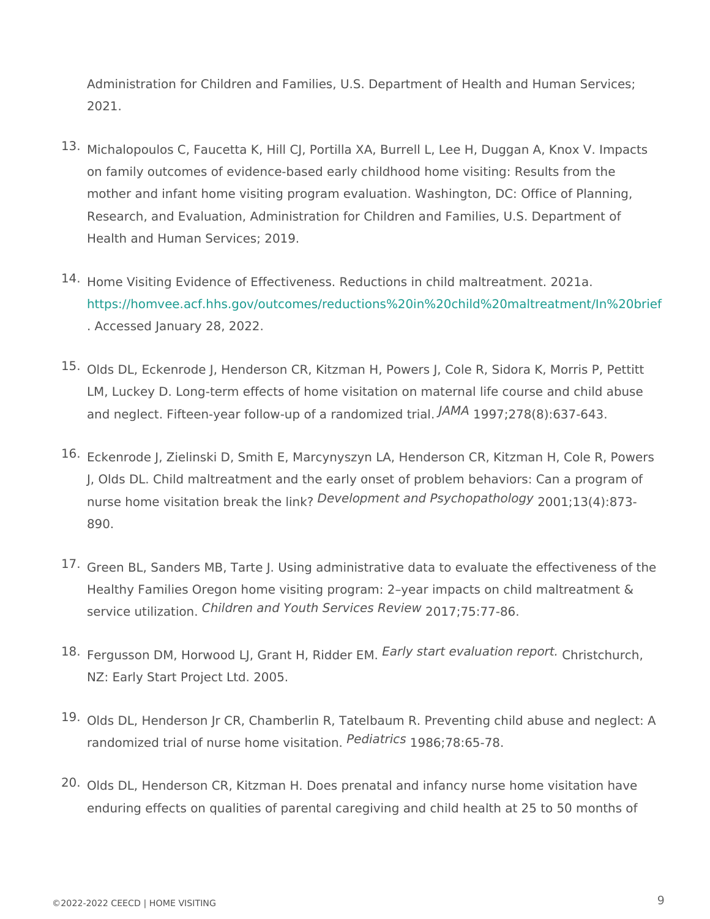Administration for Children and Families, U.S. Department of Health an 2021.

- $13 \cdot$ Michalopoulos C, Faucetta K, Hill CJ, Portilla XA, Burrell L, Lee H, Dug on family outcomes of evidence-based early childhood home visiting: Results from the set of  $\mathbb R$ mother and infant home visiting program evaluation. Washington, DC: O Research, and Evaluation, Administration for Children and Families, U. Health and Human Services; 2019.
- 14. Home Visiting Evidence of Effectiveness. Reductions in child maltreatm [https://homvee.acf.hhs.gov/outcomes/reductions%20in%20child%20](https://homvee.acf.hhs.gov/outcomes/reductions in child maltreatment/In brief)maltr . Accessed January 28, 2022.
- 15.Olds DL, Eckenrode J, Henderson CR, Kitzman H, Powers J, Cole R, Sic LM, Luckey D. Long-term effects of home visitation on maternal life cou and neglect. Fifteen-year follow-up of a randomized trial. 1997;278(8):637-643. JAMA
- 16.Eckenrode J, Zielinski D, Smith E, Marcynyszyn LA, Henderson CR, Kitz J, Olds DL. Child maltreatment and the early onset of problem behavior nurse home visitation brea  $R$  q K & I pin m ont and Psychop & b to q I o q 3 -890.
- 17.Green BL, Sanders MB, Tarte J. Using administrative data to evaluate t Healthy Families Oregon home visiting program: 2 year impacts on child service utiliz  $x_1$ hb $x_2$ ren and Youth Service & 1 Revisew 7 - 86.
- 18. Fergusson DM, Horwood LJ, Grant FHP, Ryi & d& Ft EPM aluation Chop Ps Pt Ethurch, NZ: Early Start Project Ltd. 2005.
- <sup>19.</sup>Olds DL, Henderson Jr CR, Chamberlin R, Tatelbaum R. Preventing chil randomized trial of nurse hom $\epsilon$ <sup>0</sup> $\sqrt{$   $\frac{1}{2}$
- 20.Olds DL, Henderson CR, Kitzman H. Does prenatal and infancy nurse ho enduring effects on qualities of parental caregiving and child health at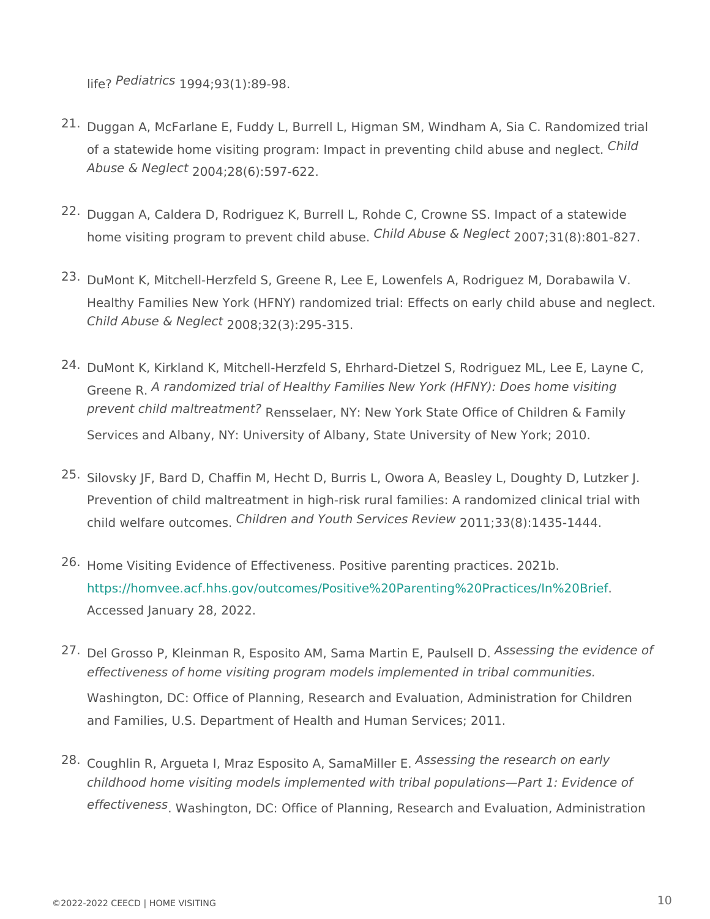$l$ ife $P$ ediatri $P$ §94:93(1):89-98.

- 21.Duggan A, McFarlane E, Fuddy L, Burrell L, Higman SM, Windham A, Sia of a statewide home visiting program: Impact in preventing  $G_h$ hild abuse Abuse &  $Neg\frac{1}{2}\Theta Qd_4$ ; 28(6): 597 - 622.
- 22.Duggan A, Caldera D, Rodriguez K, Burrell L, Rohde C, Crowne SS. Imp home visiting program to prevent  $C$ hild  $A$ buse & Negle $\mathcal{F}$ <sup>t</sup>31(8):801-827.
- 23.DuMont K, Mitchell-Herzfeld S, Greene R, Lee E, Lowenfels A, Rodrigue Healthy Families New York (HFNY) randomized trial: Effects on early ch  $Child$  Abuse & Neglegs:  $32(3):295-315$ .
- 24.DuMont K, Kirkland K, Mitchell-Herzfeld S, Ehrhard-Dietzel S, Rodrigue Greene R randomized trial of Healthy Families New York (HFNY): Does h prevent child maltreat presistelaer, NY: New York State Office of Children Services and Albany, NY: University of Albany, State University of New
- 25.Silovsky JF, Bard D, Chaffin M, Hecht D, Burris L, Owora A, Beasley L, Prevention of child maltreatment in high-risk rural families: A randomiz child welfare out Combes en and Youth Service & 1 Rey Bq W : 1435-1444.
- 26. Home Visiting Evidence of Effectiveness. Positive parenting practices. [https://homvee.acf.hhs.gov/outcomes/Positive%20Parenting%](https://homvee.acf.hhs.gov/outcomes/Positive Parenting Practices/In Brief)20Practice Accessed January 28, 2022.
- 27 Del Grosso P, Kleinman R, Esposito AM, Sama Mastens Engptagleavid pnce of Washington, DC: Office of Planning, Research and Evaluation, Administ and Families, U.S. Department of Health and Human Services; 2011. effectiveness of home visiting program models implemented in tribal co
- 28 Coughlin R, Argueta I, Mraz Esposito AS SSE and the research on early effectivene W<sub>ashington, DC: Office of Planning, Research and Evaluation</sub> childhood home visiting models implemented with tribal populations Par